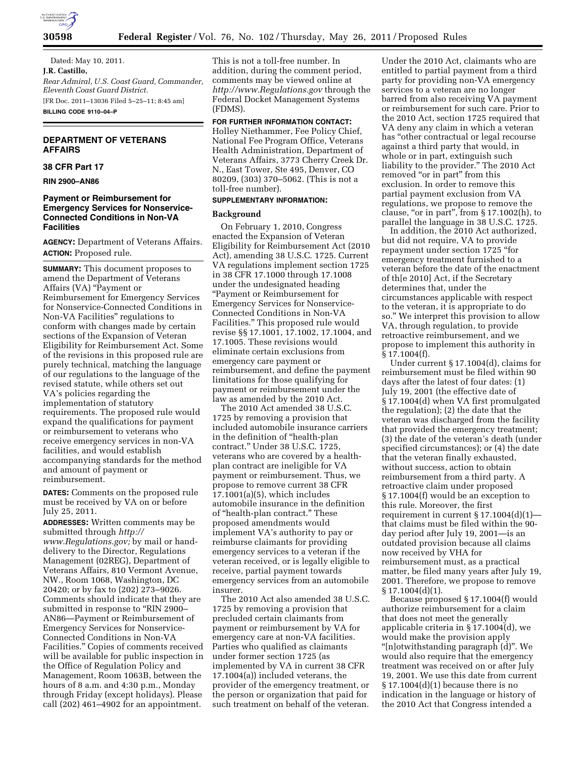

Dated: May 10, 2011. **J.R. Castillo,**  *Rear Admiral, U.S. Coast Guard, Commander, Eleventh Coast Guard District.*  [FR Doc. 2011–13036 Filed 5–25–11; 8:45 am] **BILLING CODE 9110–04–P** 

# **DEPARTMENT OF VETERANS AFFAIRS**

# **38 CFR Part 17**

**RIN 2900–AN86** 

# **Payment or Reimbursement for Emergency Services for Nonservice-Connected Conditions in Non-VA Facilities**

**AGENCY:** Department of Veterans Affairs. **ACTION:** Proposed rule.

**SUMMARY:** This document proposes to amend the Department of Veterans Affairs (VA) "Payment or Reimbursement for Emergency Services for Nonservice-Connected Conditions in Non-VA Facilities'' regulations to conform with changes made by certain sections of the Expansion of Veteran Eligibility for Reimbursement Act. Some of the revisions in this proposed rule are purely technical, matching the language of our regulations to the language of the revised statute, while others set out VA's policies regarding the implementation of statutory requirements. The proposed rule would expand the qualifications for payment or reimbursement to veterans who receive emergency services in non-VA facilities, and would establish accompanying standards for the method and amount of payment or reimbursement.

**DATES:** Comments on the proposed rule must be received by VA on or before July 25, 2011.

**ADDRESSES:** Written comments may be submitted through *[http://](http://www.Regulations.gov) [www.Regulations.gov;](http://www.Regulations.gov)* by mail or handdelivery to the Director, Regulations Management (02REG), Department of Veterans Affairs, 810 Vermont Avenue, NW., Room 1068, Washington, DC 20420; or by fax to (202) 273–9026. Comments should indicate that they are submitted in response to "RIN 2900-AN86—Payment or Reimbursement of Emergency Services for Nonservice-Connected Conditions in Non-VA Facilities.'' Copies of comments received will be available for public inspection in the Office of Regulation Policy and Management, Room 1063B, between the hours of 8 a.m. and 4:30 p.m., Monday through Friday (except holidays). Please call (202) 461–4902 for an appointment.

This is not a toll-free number. In addition, during the comment period, comments may be viewed online at *<http://www.Regulations.gov>*through the Federal Docket Management Systems (FDMS).

# **FOR FURTHER INFORMATION CONTACT:**

Holley Niethammer, Fee Policy Chief, National Fee Program Office, Veterans Health Administration, Department of Veterans Affairs, 3773 Cherry Creek Dr. N., East Tower, Ste 495, Denver, CO 80209, (303) 370–5062. (This is not a toll-free number).

# **SUPPLEMENTARY INFORMATION:**

## **Background**

On February 1, 2010, Congress enacted the Expansion of Veteran Eligibility for Reimbursement Act (2010 Act), amending 38 U.S.C. 1725. Current VA regulations implement section 1725 in 38 CFR 17.1000 through 17.1008 under the undesignated heading ''Payment or Reimbursement for Emergency Services for Nonservice-Connected Conditions in Non-VA Facilities.'' This proposed rule would revise §§ 17.1001, 17.1002, 17.1004, and 17.1005. These revisions would eliminate certain exclusions from emergency care payment or reimbursement, and define the payment limitations for those qualifying for payment or reimbursement under the law as amended by the 2010 Act.

The 2010 Act amended 38 U.S.C. 1725 by removing a provision that included automobile insurance carriers in the definition of ''health-plan contract.'' Under 38 U.S.C. 1725, veterans who are covered by a healthplan contract are ineligible for VA payment or reimbursement. Thus, we propose to remove current 38 CFR 17.1001(a)(5), which includes automobile insurance in the definition of "health-plan contract." These proposed amendments would implement VA's authority to pay or reimburse claimants for providing emergency services to a veteran if the veteran received, or is legally eligible to receive, partial payment towards emergency services from an automobile insurer.

The 2010 Act also amended 38 U.S.C. 1725 by removing a provision that precluded certain claimants from payment or reimbursement by VA for emergency care at non-VA facilities. Parties who qualified as claimants under former section 1725 (as implemented by VA in current 38 CFR 17.1004(a)) included veterans, the provider of the emergency treatment, or the person or organization that paid for such treatment on behalf of the veteran.

Under the 2010 Act, claimants who are entitled to partial payment from a third party for providing non-VA emergency services to a veteran are no longer barred from also receiving VA payment or reimbursement for such care. Prior to the 2010 Act, section 1725 required that VA deny any claim in which a veteran has ''other contractual or legal recourse against a third party that would, in whole or in part, extinguish such liability to the provider.'' The 2010 Act removed "or in part" from this exclusion. In order to remove this partial payment exclusion from VA regulations, we propose to remove the clause, "or in part", from § 17.1002(h), to parallel the language in 38 U.S.C. 1725.

In addition, the 2010 Act authorized, but did not require, VA to provide repayment under section 1725 ''for emergency treatment furnished to a veteran before the date of the enactment of th[e 2010] Act, if the Secretary determines that, under the circumstances applicable with respect to the veteran, it is appropriate to do so.'' We interpret this provision to allow VA, through regulation, to provide retroactive reimbursement, and we propose to implement this authority in § 17.1004(f).

Under current § 17.1004(d), claims for reimbursement must be filed within 90 days after the latest of four dates: (1) July 19, 2001 (the effective date of § 17.1004(d) when VA first promulgated the regulation); (2) the date that the veteran was discharged from the facility that provided the emergency treatment; (3) the date of the veteran's death (under specified circumstances); or (4) the date that the veteran finally exhausted, without success, action to obtain reimbursement from a third party. A retroactive claim under proposed § 17.1004(f) would be an exception to this rule. Moreover, the first requirement in current  $\S 17.1004(d)(1)$ that claims must be filed within the 90 day period after July 19, 2001—is an outdated provision because all claims now received by VHA for reimbursement must, as a practical matter, be filed many years after July 19, 2001. Therefore, we propose to remove § 17.1004(d)(1).

Because proposed § 17.1004(f) would authorize reimbursement for a claim that does not meet the generally applicable criteria in § 17.1004(d), we would make the provision apply ''[n]otwithstanding paragraph (d)''. We would also require that the emergency treatment was received on or after July 19, 2001. We use this date from current  $\S 17.1004(d)(1)$  because there is no indication in the language or history of the 2010 Act that Congress intended a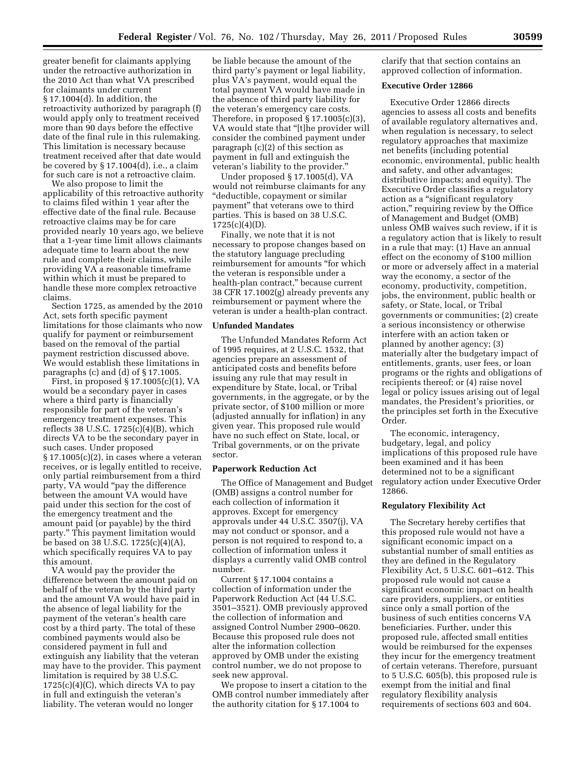greater benefit for claimants applying under the retroactive authorization in the 2010 Act than what VA prescribed for claimants under current § 17.1004(d). In addition, the retroactivity authorized by paragraph (f) would apply only to treatment received more than 90 days before the effective date of the final rule in this rulemaking. This limitation is necessary because treatment received after that date would be covered by § 17.1004(d), i.e., a claim for such care is not a retroactive claim.

We also propose to limit the applicability of this retroactive authority to claims filed within 1 year after the effective date of the final rule. Because retroactive claims may be for care provided nearly 10 years ago, we believe that a 1-year time limit allows claimants adequate time to learn about the new rule and complete their claims, while providing VA a reasonable timeframe within which it must be prepared to handle these more complex retroactive claims.

Section 1725, as amended by the 2010 Act, sets forth specific payment limitations for those claimants who now qualify for payment or reimbursement based on the removal of the partial payment restriction discussed above. We would establish these limitations in paragraphs (c) and (d) of § 17.1005.

First, in proposed § 17.1005(c)(1), VA would be a secondary payer in cases where a third party is financially responsible for part of the veteran's emergency treatment expenses. This reflects 38 U.S.C. 1725(c)(4)(B), which directs VA to be the secondary payer in such cases. Under proposed  $\S 17.1005(c)(2)$ , in cases where a veteran receives, or is legally entitled to receive, only partial reimbursement from a third party, VA would "pay the difference between the amount VA would have paid under this section for the cost of the emergency treatment and the amount paid (or payable) by the third party.'' This payment limitation would be based on 38 U.S.C. 1725(c)(4)(A), which specifically requires VA to pay this amount.

VA would pay the provider the difference between the amount paid on behalf of the veteran by the third party and the amount VA would have paid in the absence of legal liability for the payment of the veteran's health care cost by a third party. The total of these combined payments would also be considered payment in full and extinguish any liability that the veteran may have to the provider. This payment limitation is required by 38 U.S.C.  $1725(c)(4)(C)$ , which directs VA to pay in full and extinguish the veteran's liability. The veteran would no longer

be liable because the amount of the third party's payment or legal liability, plus VA's payment, would equal the total payment VA would have made in the absence of third party liability for the veteran's emergency care costs. Therefore, in proposed  $\S 17.1005(c)(3)$ , VA would state that ''[t]he provider will consider the combined payment under paragraph (c)(2) of this section as payment in full and extinguish the veteran's liability to the provider.''

Under proposed § 17.1005(d), VA would not reimburse claimants for any ''deductible, copayment or similar payment'' that veterans owe to third parties. This is based on 38 U.S.C.  $1725(c)(4)(D)$ .

Finally, we note that it is not necessary to propose changes based on the statutory language precluding reimbursement for amounts ''for which the veteran is responsible under a health-plan contract,'' because current 38 CFR 17.1002(g) already prevents any reimbursement or payment where the veteran is under a health-plan contract.

### **Unfunded Mandates**

The Unfunded Mandates Reform Act of 1995 requires, at 2 U.S.C. 1532, that agencies prepare an assessment of anticipated costs and benefits before issuing any rule that may result in expenditure by State, local, or Tribal governments, in the aggregate, or by the private sector, of \$100 million or more (adjusted annually for inflation) in any given year. This proposed rule would have no such effect on State, local, or Tribal governments, or on the private sector.

#### **Paperwork Reduction Act**

The Office of Management and Budget (OMB) assigns a control number for each collection of information it approves. Except for emergency approvals under 44 U.S.C. 3507(j), VA may not conduct or sponsor, and a person is not required to respond to, a collection of information unless it displays a currently valid OMB control number.

Current § 17.1004 contains a collection of information under the Paperwork Reduction Act (44 U.S.C. 3501–3521). OMB previously approved the collection of information and assigned Control Number 2900–0620. Because this proposed rule does not alter the information collection approved by OMB under the existing control number, we do not propose to seek new approval.

We propose to insert a citation to the OMB control number immediately after the authority citation for § 17.1004 to

clarify that that section contains an approved collection of information.

#### **Executive Order 12866**

Executive Order 12866 directs agencies to assess all costs and benefits of available regulatory alternatives and, when regulation is necessary, to select regulatory approaches that maximize net benefits (including potential economic, environmental, public health and safety, and other advantages; distributive impacts; and equity). The Executive Order classifies a regulatory action as a ''significant regulatory action,'' requiring review by the Office of Management and Budget (OMB) unless OMB waives such review, if it is a regulatory action that is likely to result in a rule that may: (1) Have an annual effect on the economy of \$100 million or more or adversely affect in a material way the economy, a sector of the economy, productivity, competition, jobs, the environment, public health or safety, or State, local, or Tribal governments or communities; (2) create a serious inconsistency or otherwise interfere with an action taken or planned by another agency; (3) materially alter the budgetary impact of entitlements, grants, user fees, or loan programs or the rights and obligations of recipients thereof; or (4) raise novel legal or policy issues arising out of legal mandates, the President's priorities, or the principles set forth in the Executive Order.

The economic, interagency, budgetary, legal, and policy implications of this proposed rule have been examined and it has been determined not to be a significant regulatory action under Executive Order 12866.

# **Regulatory Flexibility Act**

The Secretary hereby certifies that this proposed rule would not have a significant economic impact on a substantial number of small entities as they are defined in the Regulatory Flexibility Act, 5 U.S.C. 601–612. This proposed rule would not cause a significant economic impact on health care providers, suppliers, or entities since only a small portion of the business of such entities concerns VA beneficiaries. Further, under this proposed rule, affected small entities would be reimbursed for the expenses they incur for the emergency treatment of certain veterans. Therefore, pursuant to 5 U.S.C. 605(b), this proposed rule is exempt from the initial and final regulatory flexibility analysis requirements of sections 603 and 604.